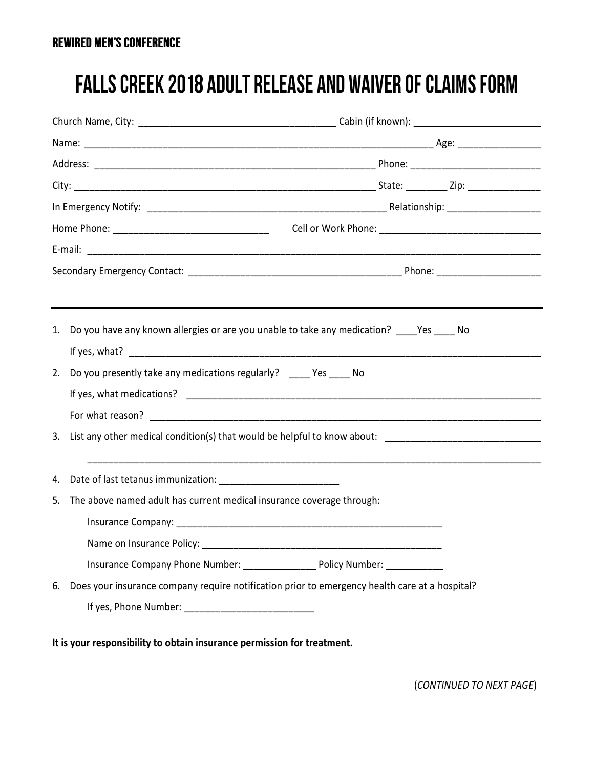## **FALLS CREEK 2018 ADULT RELEASE AND WAIVER OF CLAIMS FORM**

| 1. | Do you have any known allergies or are you unable to take any medication? Yes No               |  |  |  |  |
|----|------------------------------------------------------------------------------------------------|--|--|--|--|
| 2. | Do you presently take any medications regularly? _____ Yes _____ No                            |  |  |  |  |
|    |                                                                                                |  |  |  |  |
|    |                                                                                                |  |  |  |  |
| 3. |                                                                                                |  |  |  |  |
|    |                                                                                                |  |  |  |  |
| 5. | The above named adult has current medical insurance coverage through:                          |  |  |  |  |
|    |                                                                                                |  |  |  |  |
|    | Name on Insurance Policy:                                                                      |  |  |  |  |
|    | Insurance Company Phone Number: _________________________ Policy Number: ______________        |  |  |  |  |
| 6. | Does your insurance company require notification prior to emergency health care at a hospital? |  |  |  |  |
|    |                                                                                                |  |  |  |  |
|    | It is your responsibility to obtain insurance permission for treatment.                        |  |  |  |  |

(*CONTINUED TO NEXT PAGE*)